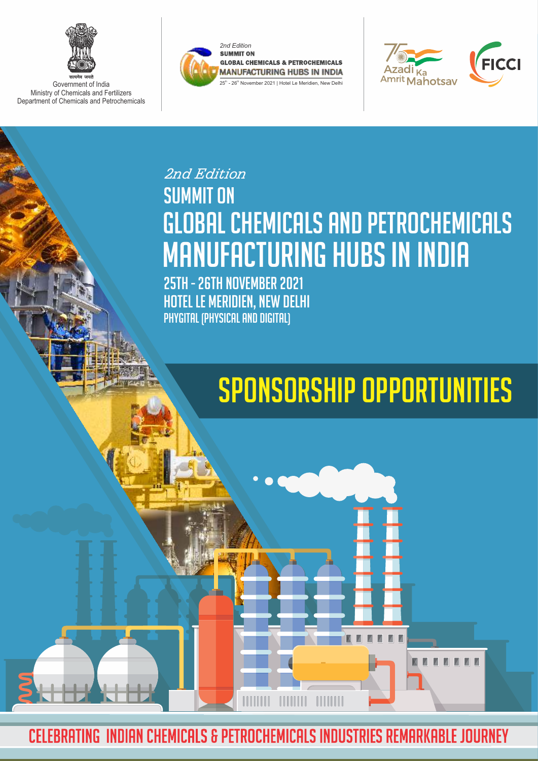

Government of India Ministry of Chemicals and Fertilizers Department of Chemicals and Petrochemicals





M

## **SUMMIT ON** Global CHEMICALS AND PETROCHEMICALS MANUFACTURING HUBS IN INDIA *2nd Edition*

25TH - 26TH NOVember 2021 HOTEL LE MERIDIEN, NEW DELHI Phygital (Physical and Digital)

# Sponsorship Opportunities

CELEBRATING INDIAN CHEMICALS & PETROCHEMICALS INDUSTRIES REMARKABLE JOURNEY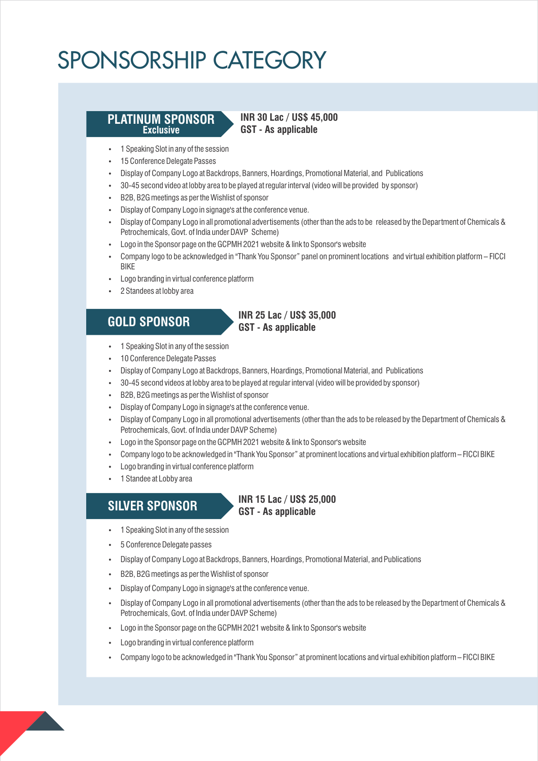#### **PLATINUM SPONSOR Exclusive**

#### **INR 30 Lac / US\$ 45,000 GST - As applicable**

- 1 Speaking Slot in any of the session
- $\cdot$  15 Conference Delegate Passes
- Display of Company Logo at Backdrops, Banners, Hoardings, Promotional Material, and Publications
- $\cdot$  30-45 second video at lobby area to be played at regular interval (video will be provided by sponsor)
- B2B, B2G meetings as per the Wishlist of sponsor
- $\cdot$  Display of Company Logo in signage's at the conference venue.
- Display of Company Logo in all promotional advertisements (other than the ads to be released by the Department of Chemicals & Petrochemicals, Govt. of India under DAVP Scheme)
- Logo in the Sponsor page on the GCPMH 2021 website & link to Sponsor's website
- Company logo to be acknowledged in "Thank You Sponsor" panel on prominent locations and virtual exhibition platform FICCI BIKE
- Logo branding in virtual conference platform
- 2 Standees at lobby area

**GOLD SPONSOR**

### **INR 25 Lac / US\$ 35,000 GST - As applicable**

- 1 Speaking Slot in any of the session
- 10 Conference Delegate Passes
- Display of Company Logo at Backdrops, Banners, Hoardings, Promotional Material, and Publications
- $\cdot$  30-45 second videos at lobby area to be played at regular interval (video will be provided by sponsor)
- $\cdot$  B2B, B2G meetings as per the Wishlist of sponsor
- Display of Company Logo in signage's at the conference venue.
- Display of Company Logo in all promotional advertisements (other than the ads to be released by the Department of Chemicals & Petrochemicals, Govt. of India under DAVP Scheme)
- Logo in the Sponsor page on the GCPMH 2021 website & link to Sponsor's website
- Company logo to be acknowledged in "Thank You Sponsor" at prominent locations and virtual exhibition platform FICCI BIKE
- Logo branding in virtual conference platform
- 1 Standee at Lobby area

### **SILVER SPONSOR**

#### **INR 15 Lac / US\$ 25,000 GST - As applicable**

- 1 Speaking Slot in any of the session
- 5 Conference Delegate passes
- Display of Company Logo at Backdrops, Banners, Hoardings, Promotional Material, and Publications
- B2B, B2G meetings as per the Wishlist of sponsor
- $\cdot$  Display of Company Logo in signage's at the conference venue.
- Display of Company Logo in all promotional advertisements (other than the ads to be released by the Department of Chemicals & Petrochemicals, Govt. of India under DAVP Scheme)
- Logo in the Sponsor page on the GCPMH 2021 website & link to Sponsor's website
- Logo branding in virtual conference platform
- Company logo to be acknowledged in "Thank You Sponsor" at prominent locations and virtual exhibition platform FICCI BIKE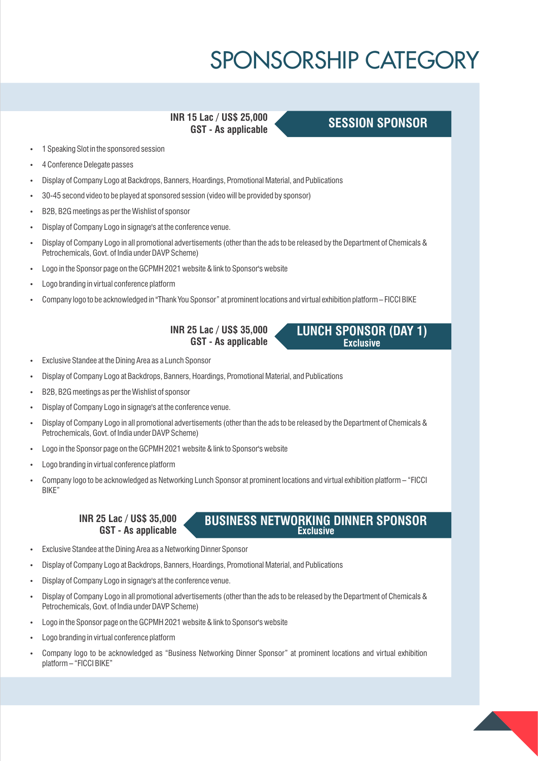**INR 15 Lac / US\$ 25,000 GST - As applicable**

### **SESSION SPONSOR**

**LUNCH SPONSOR (DAY 1) Exclusive**

- 1 Speaking Slot in the sponsored session
- 4 Conference Delegate passes
- Display of Company Logo at Backdrops, Banners, Hoardings, Promotional Material, and Publications
- 30-45 second video to be played at sponsored session (video will be provided by sponsor)
- B2B, B2G meetings as per the Wishlist of sponsor
- Display of Company Logo in signage's at the conference venue.
- Display of Company Logo in all promotional advertisements (other than the ads to be released by the Department of Chemicals & Petrochemicals, Govt. of India under DAVP Scheme)
- Logo in the Sponsor page on the GCPMH 2021 website & link to Sponsor's website
- Logo branding in virtual conference platform
- Company logo to be acknowledged in "Thank You Sponsor" at prominent locations and virtual exhibition platform FICCI BIKE

**INR 25 Lac / US\$ 35,000 GST - As applicable**

- Exclusive Standee at the Dining Area as a Lunch Sponsor
- Display of Company Logo at Backdrops, Banners, Hoardings, Promotional Material, and Publications
- $-B2B$ , B2G meetings as per the Wishlist of sponsor
- Display of Company Logo in signage's at the conference venue.
- Display of Company Logo in all promotional advertisements (other than the ads to be released by the Department of Chemicals & Petrochemicals, Govt. of India under DAVP Scheme)
- Logo in the Sponsor page on the GCPMH 2021 website & link to Sponsor's website
- Logo branding in virtual conference platform
- Ÿ Company logo to be acknowledged as Networking Lunch Sponsor at prominent locations and virtual exhibition platform "FICCI BIKE"

**INR 25 Lac / US\$ 35,000 GST - As applicable**

#### **BUSINESS NETWORKING DINNER SPONSOR Exclusive**

- Exclusive Standee at the Dining Area as a Networking Dinner Sponsor
- Display of Company Logo at Backdrops, Banners, Hoardings, Promotional Material, and Publications
- Display of Company Logo in signage's at the conference venue.
- Display of Company Logo in all promotional advertisements (other than the ads to be released by the Department of Chemicals & Petrochemicals, Govt. of India under DAVP Scheme)
- Logo in the Sponsor page on the GCPMH 2021 website & link to Sponsor's website
- Logo branding in virtual conference platform
- Company logo to be acknowledged as "Business Networking Dinner Sponsor" at prominent locations and virtual exhibition platform – "FICCI BIKE"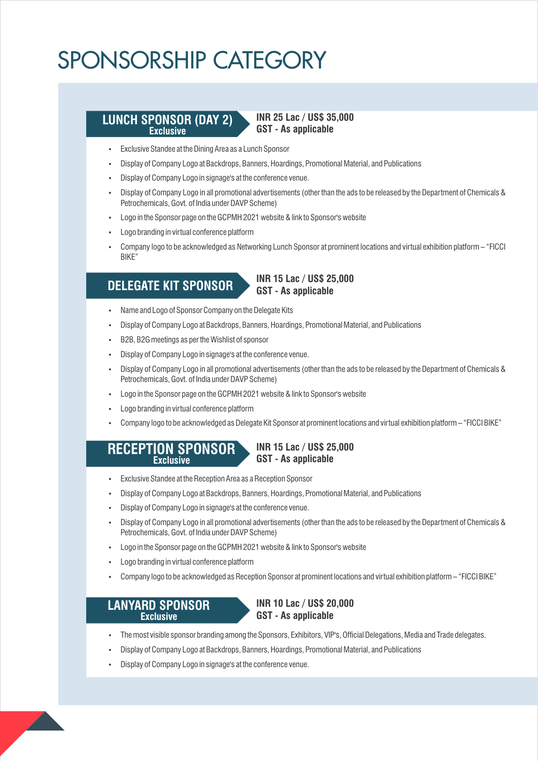#### **LUNCH SPONSOR (DAY 2) Exclusive**

**INR 25 Lac / US\$ 35,000 GST - As applicable**

- Exclusive Standee at the Dining Area as a Lunch Sponsor
- Display of Company Logo at Backdrops, Banners, Hoardings, Promotional Material, and Publications
- $\cdot$  Display of Company Logo in signage's at the conference venue.
- Display of Company Logo in all promotional advertisements (other than the ads to be released by the Department of Chemicals & Petrochemicals, Govt. of India under DAVP Scheme)
- Logo in the Sponsor page on the GCPMH 2021 website & link to Sponsor's website
- Logo branding in virtual conference platform
- Company logo to be acknowledged as Networking Lunch Sponsor at prominent locations and virtual exhibition platform "FICCI BIKE"

### **DELEGATE KIT SPONSOR**

**INR 15 Lac / US\$ 25,000 GST - As applicable**

- Name and Logo of Sponsor Company on the Delegate Kits
- Display of Company Logo at Backdrops, Banners, Hoardings, Promotional Material, and Publications
- B2B, B2G meetings as per the Wishlist of sponsor
- $\cdot$  Display of Company Logo in signage's at the conference venue.
- Display of Company Logo in all promotional advertisements (other than the ads to be released by the Department of Chemicals & Petrochemicals, Govt. of India under DAVP Scheme)
- Logo in the Sponsor page on the GCPMH 2021 website & link to Sponsor's website
- Logo branding in virtual conference platform
- Ÿ Company logo to be acknowledged as Delegate Kit Sponsor at prominent locations and virtual exhibition platform "FICCI BIKE"

**INR 15 Lac / US\$ 25,000**

**RECEPTION SPONSOR Exclusive**

### **GST - As applicable**

- Exclusive Standee at the Reception Area as a Reception Sponsor
- Display of Company Logo at Backdrops, Banners, Hoardings, Promotional Material, and Publications
- Display of Company Logo in signage's at the conference venue.
- Display of Company Logo in all promotional advertisements (other than the ads to be released by the Department of Chemicals & Petrochemicals, Govt. of India under DAVP Scheme)
- Logo in the Sponsor page on the GCPMH 2021 website & link to Sponsor's website
- Logo branding in virtual conference platform
- Ÿ Company logo to be acknowledged as Reception Sponsor at prominent locations and virtual exhibition platform "FICCI BIKE"

#### **LANYARD SPONSOR Exclusive**

**INR 10 Lac / US\$ 20,000 GST - As applicable**

- The most visible sponsor branding among the Sponsors, Exhibitors, VIP's, Official Delegations, Media and Trade delegates.
- Display of Company Logo at Backdrops, Banners, Hoardings, Promotional Material, and Publications Disponsor at B
- Display of Company Logo in signage's at the conference venue.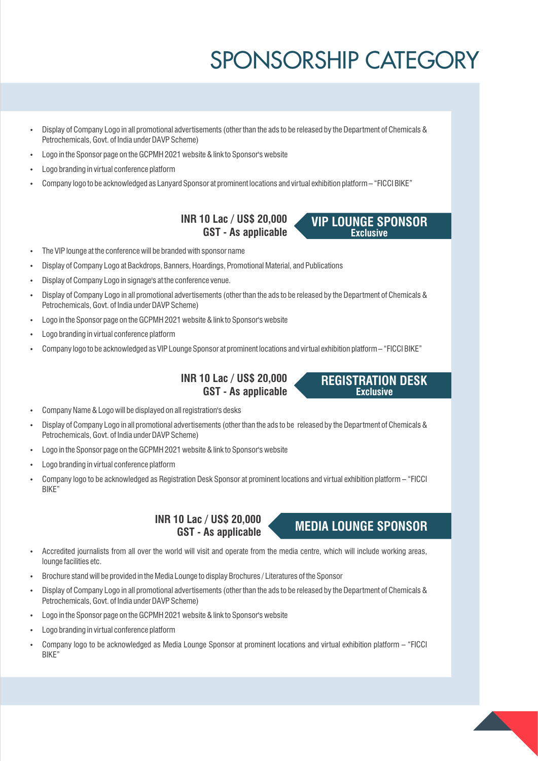**Exclusive**

**REGISTRATION DESK Exclusive**

- Display of Company Logo in all promotional advertisements (other than the ads to be released by the Department of Chemicals & Petrochemicals, Govt. of India under DAVP Scheme)
- Logo in the Sponsor page on the GCPMH 2021 website & link to Sponsor's website
- Logo branding in virtual conference platform
- Ÿ Company logo to be acknowledged as Lanyard Sponsor at prominent locations and virtual exhibition platform "FICCI BIKE"

**INR 10 Lac / US\$ 20,000 VIP LOUNGE SPONSOR GST - As applicable**

- The VIP lounge at the conference will be branded with sponsor name
- Display of Company Logo at Backdrops, Banners, Hoardings, Promotional Material, and Publications
- Display of Company Logo in signage's at the conference venue.
- Display of Company Logo in all promotional advertisements (other than the ads to be released by the Department of Chemicals & Petrochemicals, Govt. of India under DAVP Scheme)
- Logo in the Sponsor page on the GCPMH 2021 website & link to Sponsor's website
- Logo branding in virtual conference platform
- Ÿ Company logo to be acknowledged as VIP Lounge Sponsor at prominent locations and virtual exhibition platform "FICCI BIKE"

**INR 10 Lac / US\$ 20,000 GST - As applicable**

- Company Name & Logo will be displayed on all registration's desks
- Display of Company Logo in all promotional advertisements (other than the ads to be released by the Department of Chemicals & Petrochemicals, Govt. of India under DAVP Scheme)
- Logo in the Sponsor page on the GCPMH 2021 website & link to Sponsor's website
- Logo branding in virtual conference platform
- Ÿ Company logo to be acknowledged as Registration Desk Sponsor at prominent locations and virtual exhibition platform "FICCI BIKE"

**INR 10 Lac / US\$ 20,000 MEDIA LOUNGE SPONSOR GST - As applicable**

- Accredited journalists from all over the world will visit and operate from the media centre, which will include working areas, lounge facilities etc.
- Brochure stand will be provided in the Media Lounge to display Brochures / Literatures of the Sponsor
- Display of Company Logo in all promotional advertisements (other than the ads to be released by the Department of Chemicals & Petrochemicals, Govt. of India under DAVP Scheme)
- Logo in the Sponsor page on the GCPMH 2021 website & link to Sponsor's website
- Logo branding in virtual conference platform
- Company logo to be acknowledged as Media Lounge Sponsor at prominent locations and virtual exhibition platform "FICCI BIKE"